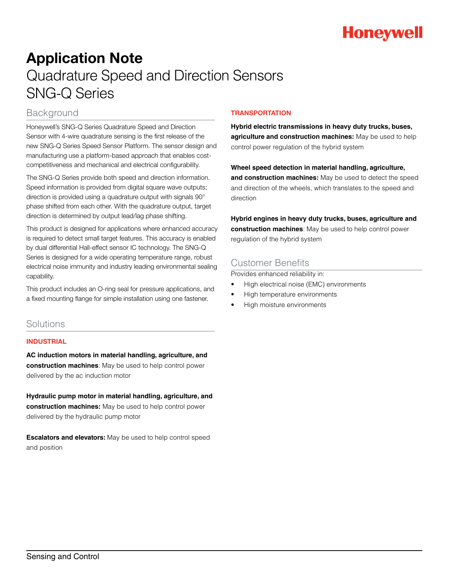

# Application Note Quadrature Speed and Direction Sensors SNG-Q Series

## Background

Honeywell's SNG-Q Series Quadrature Speed and Direction Sensor with 4-wire quadrature sensing is the first release of the new SNG-Q Series Speed Sensor Platform. The sensor design and manufacturing use a platform-based approach that enables costcompetitiveness and mechanical and electrical configurability.

The SNG-Q Series provide both speed and direction information. Speed information is provided from digital square wave outputs; direction is provided using a quadrature output with signals 90° phase shifted from each other. With the quadrature output, target direction is determined by output lead/lag phase shifting.

This product is designed for applications where enhanced accuracy is required to detect small target features. This accuracy is enabled by dual differential Hall-effect sensor IC technology. The SNG-Q Series is designed for a wide operating temperature range, robust electrical noise immunity and industry leading environmental sealing capability.

This product includes an O-ring seal for pressure applications, and a fixed mounting flange for simple installation using one fastener.

## Solutions

### INDUSTRIAL

**AC induction motors in material handling, agriculture, and construction machines**: May be used to help control power delivered by the ac induction motor

**Hydraulic pump motor in material handling, agriculture, and construction machines:** May be used to help control power delivered by the hydraulic pump motor

**Escalators and elevators:** May be used to help control speed and position

## **TRANSPORTATION**

**Hybrid electric transmissions in heavy duty trucks, buses, agriculture and construction machines:** May be used to help control power regulation of the hybrid system

**Wheel speed detection in material handling, agriculture, and construction machines:** May be used to detect the speed and direction of the wheels, which translates to the speed and direction

**Hybrid engines in heavy duty trucks, buses, agriculture and construction machines**: May be used to help control power regulation of the hybrid system

# Customer Benefits

Provides enhanced reliability in:

- High electrical noise (EMC) environments
- High temperature environments
- High moisture environments